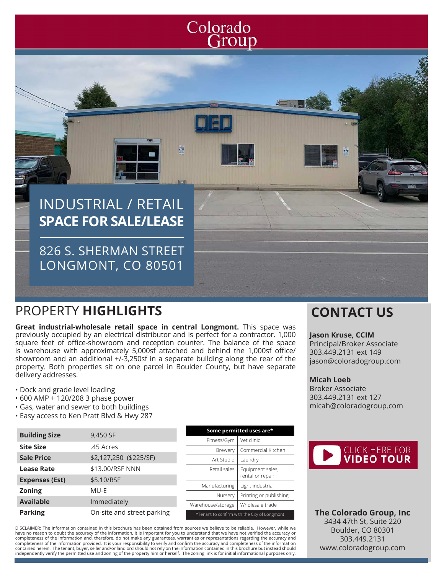# Colorado<br>Group

**Some permitted uses are\*** Fitness/Gym | Vet clinic

Brewery | Commercial Kitchen

Nursery | Printing or publishing

int to confirm with the City of Longmont

# INDUSTRIAL / RETAIL **SPACE FOR SALE/LEASE**

826 S. SHERMAN STREET LONGMONT, CO 80501

## PROPERTY **HIGHLIGHTS CONTACT US**

**Great industrial-wholesale retail space in central Longmont.** This space was previously occupied by an electrical distributor and is perfect for a contractor. 1,000 square feet of office-showroom and reception counter. The balance of the space is warehouse with approximately 5,000sf attached and behind the 1,000sf office/ showroom and an additional +/-3,250sf in a separate building along the rear of the property. Both properties sit on one parcel in Boulder County, but have separate delivery addresses.

- Dock and grade level loading
- 600 AMP + 120/208 3 phase power
- Gas, water and sewer to both buildings
- Easy access to Ken Pratt Blvd & Hwy 287

| 9,450 SF                   | Some permitted uses are*                  |
|----------------------------|-------------------------------------------|
|                            | Vet clinic<br>Fitness/Gym                 |
| .45 Acres                  | Commercial Kito<br><b>Brewery</b>         |
| \$2,127,250 (\$225/SF)     | Art Studio<br>Laundry                     |
| \$13.00/RSF NNN            | Equipment sales<br>Retail sales           |
| \$5.10/RSF                 | rental or repair                          |
|                            | Light industrial<br>Manufacturing         |
|                            | Printing or publi<br>Nursery              |
|                            | Wholesale trade<br>Warehouse/storage      |
| On-site and street parking | *Tenant to confirm with the City of Longn |
|                            | MU-E<br>Immediately                       |

DISCLAIMER: The information contained in this brochure has been obtained from sources we believe to be reliable. However, while we have no reason to doubt the accuracy of the information, it is important for you to understand that we have not verified the accuracy or<br>completeness of the information and, therefore, do not make any guarantees, warrantie completeness of the information provided. It is your responsibility to verify and confirm the accuracy and completeness of the information contained herein. The tenant, buyer, seller and/or landlord should not rely on the information contained in this brochure but instead should<br>independently verify the permitted use and zoning of the property him or herself.

#### **Jason Kruse, CCIM**

Principal/Broker Associate 303.449.2131 ext 149 jason@coloradogroup.com

#### **Micah Loeb**

Broker Associate 303.449.2131 ext 127 micah@coloradogroup.com



**The Colorado Group, Inc** 3434 47th St, Suite 220 Boulder, CO 80301 303.449.2131 www.coloradogroup.com